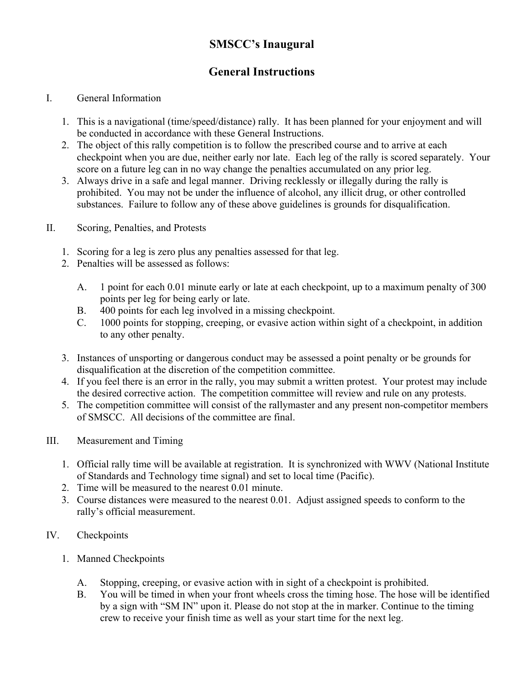# **SMSCC's Inaugural**

# **General Instructions**

#### I. General Information

- 1. This is a navigational (time/speed/distance) rally. It has been planned for your enjoyment and will be conducted in accordance with these General Instructions.
- 2. The object of this rally competition is to follow the prescribed course and to arrive at each checkpoint when you are due, neither early nor late. Each leg of the rally is scored separately. Your score on a future leg can in no way change the penalties accumulated on any prior leg.
- 3. Always drive in a safe and legal manner. Driving recklessly or illegally during the rally is prohibited. You may not be under the influence of alcohol, any illicit drug, or other controlled substances. Failure to follow any of these above guidelines is grounds for disqualification.
- II. Scoring, Penalties, and Protests
	- 1. Scoring for a leg is zero plus any penalties assessed for that leg.
	- 2. Penalties will be assessed as follows:
		- A. 1 point for each 0.01 minute early or late at each checkpoint, up to a maximum penalty of 300 points per leg for being early or late.
		- B. 400 points for each leg involved in a missing checkpoint.
		- C. 1000 points for stopping, creeping, or evasive action within sight of a checkpoint, in addition to any other penalty.
	- 3. Instances of unsporting or dangerous conduct may be assessed a point penalty or be grounds for disqualification at the discretion of the competition committee.
	- 4. If you feel there is an error in the rally, you may submit a written protest. Your protest may include the desired corrective action. The competition committee will review and rule on any protests.
	- 5. The competition committee will consist of the rallymaster and any present non-competitor members of SMSCC. All decisions of the committee are final.
- III. Measurement and Timing
	- 1. Official rally time will be available at registration. It is synchronized with WWV (National Institute of Standards and Technology time signal) and set to local time (Pacific).
	- 2. Time will be measured to the nearest 0.01 minute.
	- 3. Course distances were measured to the nearest 0.01. Adjust assigned speeds to conform to the rally's official measurement.

## IV. Checkpoints

- 1. Manned Checkpoints
	- A. Stopping, creeping, or evasive action with in sight of a checkpoint is prohibited.
	- B. You will be timed in when your front wheels cross the timing hose. The hose will be identified by a sign with "SM IN" upon it. Please do not stop at the in marker. Continue to the timing crew to receive your finish time as well as your start time for the next leg.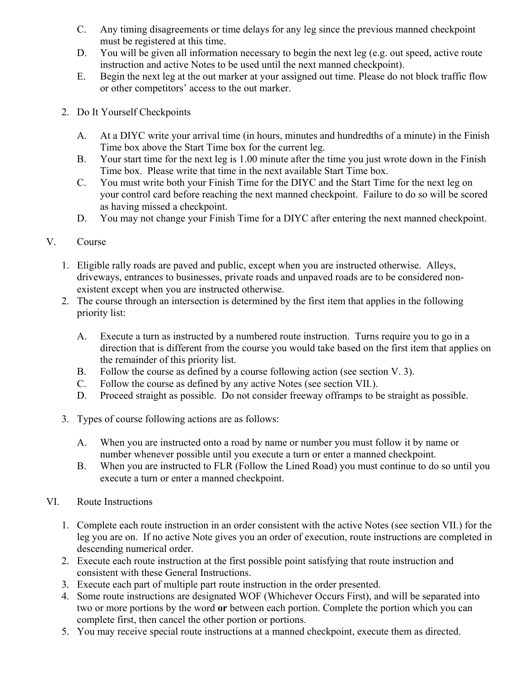- C. Any timing disagreements or time delays for any leg since the previous manned checkpoint must be registered at this time.
- D. You will be given all information necessary to begin the next leg (e.g. out speed, active route instruction and active Notes to be used until the next manned checkpoint).
- E. Begin the next leg at the out marker at your assigned out time. Please do not block traffic flow or other competitors' access to the out marker.
- 2. Do It Yourself Checkpoints
	- A. At a DIYC write your arrival time (in hours, minutes and hundredths of a minute) in the Finish Time box above the Start Time box for the current leg.
	- B. Your start time for the next leg is 1.00 minute after the time you just wrote down in the Finish Time box. Please write that time in the next available Start Time box.
	- C. You must write both your Finish Time for the DIYC and the Start Time for the next leg on your control card before reaching the next manned checkpoint. Failure to do so will be scored as having missed a checkpoint.
	- D. You may not change your Finish Time for a DIYC after entering the next manned checkpoint.

## V. Course

- 1. Eligible rally roads are paved and public, except when you are instructed otherwise. Alleys, driveways, entrances to businesses, private roads and unpaved roads are to be considered nonexistent except when you are instructed otherwise.
- 2. The course through an intersection is determined by the first item that applies in the following priority list:
	- A. Execute a turn as instructed by a numbered route instruction. Turns require you to go in a direction that is different from the course you would take based on the first item that applies on the remainder of this priority list.
	- B. Follow the course as defined by a course following action (see section V. 3).
	- C. Follow the course as defined by any active Notes (see section VII.).
	- D. Proceed straight as possible. Do not consider freeway offramps to be straight as possible.
- 3. Types of course following actions are as follows:
	- A. When you are instructed onto a road by name or number you must follow it by name or number whenever possible until you execute a turn or enter a manned checkpoint.
	- B. When you are instructed to FLR (Follow the Lined Road) you must continue to do so until you execute a turn or enter a manned checkpoint.
- VI. Route Instructions
	- 1. Complete each route instruction in an order consistent with the active Notes (see section VII.) for the leg you are on. If no active Note gives you an order of execution, route instructions are completed in descending numerical order.
	- 2. Execute each route instruction at the first possible point satisfying that route instruction and consistent with these General Instructions.
	- 3. Execute each part of multiple part route instruction in the order presented.
	- 4. Some route instructions are designated WOF (Whichever Occurs First), and will be separated into two or more portions by the word **or** between each portion. Complete the portion which you can complete first, then cancel the other portion or portions.
	- 5. You may receive special route instructions at a manned checkpoint, execute them as directed.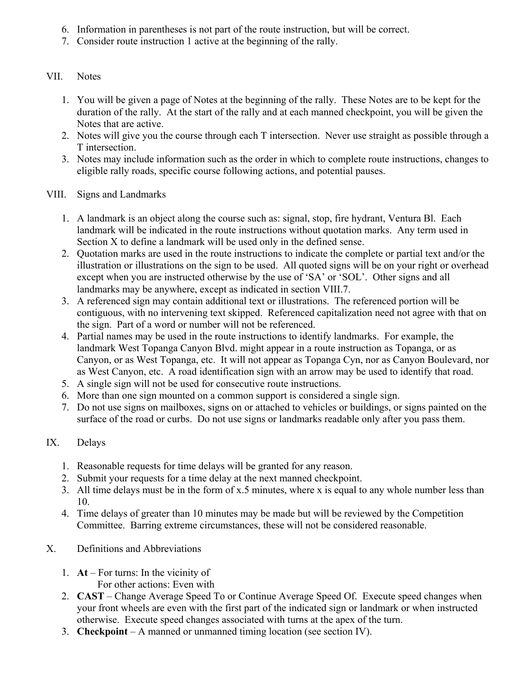- 6. Information in parentheses is not part of the route instruction, but will be correct.
- 7. Consider route instruction 1 active at the beginning of the rally.

#### VII. Notes

- 1. You will be given a page of Notes at the beginning of the rally. These Notes are to be kept for the duration of the rally. At the start of the rally and at each manned checkpoint, you will be given the Notes that are active.
- 2. Notes will give you the course through each T intersection. Never use straight as possible through a T intersection.
- 3. Notes may include information such as the order in which to complete route instructions, changes to eligible rally roads, specific course following actions, and potential pauses.
- VIII. Signs and Landmarks
	- 1. A landmark is an object along the course such as: signal, stop, fire hydrant, Ventura Bl. Each landmark will be indicated in the route instructions without quotation marks. Any term used in Section X to define a landmark will be used only in the defined sense.
	- 2. Quotation marks are used in the route instructions to indicate the complete or partial text and/or the illustration or illustrations on the sign to be used. All quoted signs will be on your right or overhead except when you are instructed otherwise by the use of 'SA' or 'SOL'. Other signs and all landmarks may be anywhere, except as indicated in section VIII.7.
	- 3. A referenced sign may contain additional text or illustrations. The referenced portion will be contiguous, with no intervening text skipped. Referenced capitalization need not agree with that on the sign. Part of a word or number will not be referenced.
	- 4. Partial names may be used in the route instructions to identify landmarks. For example, the landmark West Topanga Canyon Blvd. might appear in a route instruction as Topanga, or as Canyon, or as West Topanga, etc. It will not appear as Topanga Cyn, nor as Canyon Boulevard, nor as West Canyon, etc. A road identification sign with an arrow may be used to identify that road.
	- 5. A single sign will not be used for consecutive route instructions.
	- 6. More than one sign mounted on a common support is considered a single sign.
	- 7. Do not use signs on mailboxes, signs on or attached to vehicles or buildings, or signs painted on the surface of the road or curbs. Do not use signs or landmarks readable only after you pass them.

## IX. Delays

- 1. Reasonable requests for time delays will be granted for any reason.
- 2. Submit your requests for a time delay at the next manned checkpoint.
- 3. All time delays must be in the form of x.5 minutes, where x is equal to any whole number less than 10.
- 4. Time delays of greater than 10 minutes may be made but will be reviewed by the Competition Committee. Barring extreme circumstances, these will not be considered reasonable.
- X. Definitions and Abbreviations
	- 1. **At** For turns: In the vicinity of For other actions: Even with
	- 2. **CAST** Change Average Speed To or Continue Average Speed Of. Execute speed changes when your front wheels are even with the first part of the indicated sign or landmark or when instructed otherwise. Execute speed changes associated with turns at the apex of the turn.
	- 3. **Checkpoint** A manned or unmanned timing location (see section IV).